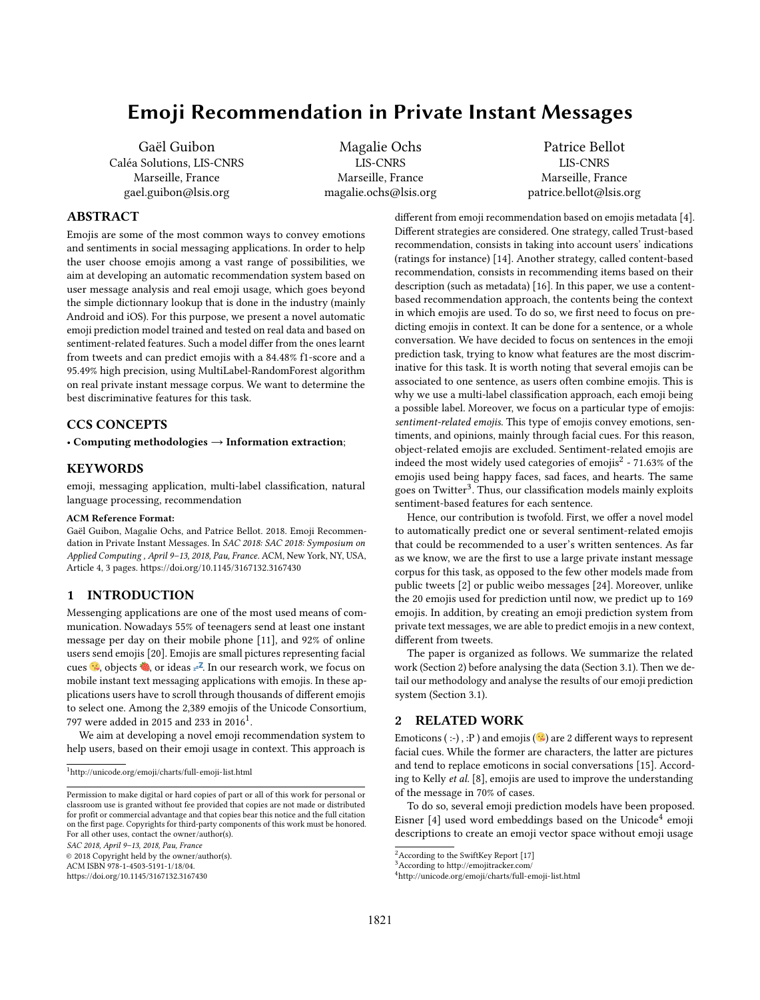# Emoji Recommendation in Private Instant Messages

Gaël Guibon Caléa Solutions, LIS-CNRS Marseille, France gael.guibon@lsis.org

Magalie Ochs LIS-CNRS Marseille, France magalie.ochs@lsis.org

Patrice Bellot LIS-CNRS Marseille, France patrice.bellot@lsis.org

# ABSTRACT

Emojis are some of the most common ways to convey emotions and sentiments in social messaging applications. In order to help the user choose emojis among a vast range of possibilities, we aim at developing an automatic recommendation system based on user message analysis and real emoji usage, which goes beyond the simple dictionnary lookup that is done in the industry (mainly Android and iOS). For this purpose, we present a novel automatic emoji prediction model trained and tested on real data and based on sentiment-related features. Such a model differ from the ones learnt from tweets and can predict emojis with a 84.48% f1-score and a 95.49% high precision, using MultiLabel-RandomForest algorithm on real private instant message corpus. We want to determine the best discriminative features for this task.

# CCS CONCEPTS

• Computing methodologies → Information extraction;

# **KEYWORDS**

emoji, messaging application, multi-label classification, natural language processing, recommendation

#### ACM Reference Format:

Gaël Guibon, Magalie Ochs, and Patrice Bellot. 2018. Emoji Recommendation in Private Instant Messages. In SAC 2018: SAC 2018: Symposium on Applied Computing , April 9–13, 2018, Pau, France. ACM, New York, NY, USA, Article 4, [3](#page-2-0) pages.<https://doi.org/10.1145/3167132.3167430>

#### 1 INTRODUCTION

Messenging applications are one of the most used means of communication. Nowadays 55% of teenagers send at least one instant message per day on their mobile phone [\[11\]](#page-2-1), and 92% of online users send emojis [\[20\]](#page-2-2). Emojis are small pictures representing facial cues  $\ddot{\bullet}$ , objects  $\ddot{\bullet}$ , or ideas  $z^2$ . In our research work, we focus on mobile instant text messaging applications with emojis. In these applications users have to scroll through thousands of different emojis to select one. Among the 2,389 emojis of the Unicode Consortium, 797 were added in 20[1](#page-0-0)5 and 233 in 2016<sup>1</sup>.

We aim at developing a novel emoji recommendation system to help users, based on their emoji usage in context. This approach is

<span id="page-0-0"></span><sup>1</sup><http://unicode.org/emoji/charts/full-emoji-list.html>

© 2018 Copyright held by the owner/author(s).

ACM ISBN 978-1-4503-5191-1/18/04.

<https://doi.org/10.1145/3167132.3167430>

different from emoji recommendation based on emojis metadata [\[4\]](#page-2-3). Different strategies are considered. One strategy, called Trust-based recommendation, consists in taking into account users' indications (ratings for instance) [\[14\]](#page-2-4). Another strategy, called content-based recommendation, consists in recommending items based on their description (such as metadata) [\[16\]](#page-2-5). In this paper, we use a contentbased recommendation approach, the contents being the context in which emojis are used. To do so, we first need to focus on predicting emojis in context. It can be done for a sentence, or a whole conversation. We have decided to focus on sentences in the emoji prediction task, trying to know what features are the most discriminative for this task. It is worth noting that several emojis can be associated to one sentence, as users often combine emojis. This is why we use a multi-label classification approach, each emoji being a possible label. Moreover, we focus on a particular type of emojis: sentiment-related emojis. This type of emojis convey emotions, sentiments, and opinions, mainly through facial cues. For this reason, object-related emojis are excluded. Sentiment-related emojis are indeed the most widely used categories of emojis<sup>[2](#page-0-1)</sup> - 71.63% of the emojis used being happy faces, sad faces, and hearts. The same goes on Twitter<sup>[3](#page-0-2)</sup>. Thus, our classification models mainly exploits sentiment-based features for each sentence.

Hence, our contribution is twofold. First, we offer a novel model to automatically predict one or several sentiment-related emojis that could be recommended to a user's written sentences. As far as we know, we are the first to use a large private instant message corpus for this task, as opposed to the few other models made from public tweets [\[2\]](#page-2-6) or public weibo messages [\[24\]](#page-2-7). Moreover, unlike the 20 emojis used for prediction until now, we predict up to 169 emojis. In addition, by creating an emoji prediction system from private text messages, we are able to predict emojis in a new context, different from tweets.

The paper is organized as follows. We summarize the related work (Section [2\)](#page-0-3) before analysing the data (Section [3.1\)](#page-1-0). Then we detail our methodology and analyse the results of our emoji prediction system (Section [3.1\)](#page-1-1).

## <span id="page-0-3"></span>2 RELATED WORK

Emoticons (:-), :P) and emojis ( $\hat{\mathcal{B}}$ ) are 2 different ways to represent facial cues. While the former are characters, the latter are pictures and tend to replace emoticons in social conversations [\[15\]](#page-2-8). According to Kelly et al. [\[8\]](#page-2-9), emojis are used to improve the understanding of the message in 70% of cases.

To do so, several emoji prediction models have been proposed. Eisner [\[4\]](#page-2-3) used word embeddings based on the Unicode<sup>[4](#page-0-4)</sup> emoji descriptions to create an emoji vector space without emoji usage

Permission to make digital or hard copies of part or all of this work for personal or classroom use is granted without fee provided that copies are not made or distributed for profit or commercial advantage and that copies bear this notice and the full citation on the first page. Copyrights for third-party components of this work must be honored. For all other uses, contact the owner/author(s). SAC 2018, April 9–13, 2018, Pau, France

<span id="page-0-1"></span><sup>&</sup>lt;sup>2</sup> According to the SwiftKey Report [\[17\]](#page-2-10)

<span id="page-0-2"></span><sup>&</sup>lt;sup>3</sup>According to<http://emojitracker.com/>

<span id="page-0-4"></span><sup>4</sup><http://unicode.org/emoji/charts/full-emoji-list.html>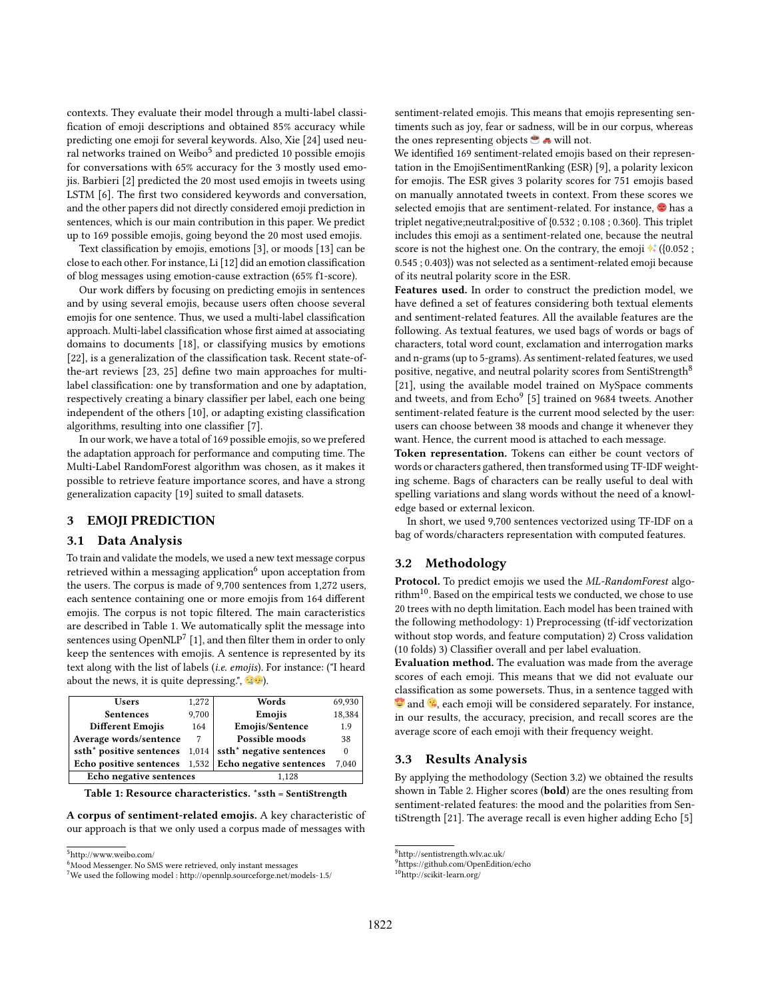contexts. They evaluate their model through a multi-label classification of emoji descriptions and obtained 85% accuracy while predicting one emoji for several keywords. Also, Xie [\[24\]](#page-2-11) used neu-ral networks trained on Weibo<sup>[5](#page-1-2)</sup> and predicted 10 possible emojis for conversations with 65% accuracy for the 3 mostly used emojis. Barbieri [\[2\]](#page-2-12) predicted the 20 most used emojis in tweets using LSTM [\[6\]](#page-2-13). The first two considered keywords and conversation, and the other papers did not directly considered emoji prediction in sentences, which is our main contribution in this paper. We predict up to 169 possible emojis, going beyond the 20 most used emojis.

Text classification by emojis, emotions [\[3\]](#page-2-14), or moods [\[13\]](#page-2-15) can be close to each other. For instance, Li [\[12\]](#page-2-16) did an emotion classification of blog messages using emotion-cause extraction (65% f1-score).

Our work differs by focusing on predicting emojis in sentences and by using several emojis, because users often choose several emojis for one sentence. Thus, we used a multi-label classification approach. Multi-label classification whose first aimed at associating domains to documents [\[18\]](#page-2-17), or classifying musics by emotions [\[22\]](#page-2-18), is a generalization of the classification task. Recent state-ofthe-art reviews [\[23,](#page-2-19) [25\]](#page-2-20) define two main approaches for multilabel classification: one by transformation and one by adaptation, respectively creating a binary classifier per label, each one being independent of the others [\[10\]](#page-2-21), or adapting existing classification algorithms, resulting into one classifier [\[7\]](#page-2-22).

In our work, we have a total of 169 possible emojis, so we prefered the adaptation approach for performance and computing time. The Multi-Label RandomForest algorithm was chosen, as it makes it possible to retrieve feature importance scores, and have a strong generalization capacity [\[19\]](#page-2-23) suited to small datasets.

# 3 EMOJI PREDICTION

# <span id="page-1-0"></span>3.1 Data Analysis

To train and validate the models, we used a new text message corpus retrieved within a messaging application $<sup>6</sup>$  $<sup>6</sup>$  $<sup>6</sup>$  upon acceptation from</sup> the users. The corpus is made of 9,700 sentences from 1,272 users, each sentence containing one or more emojis from 164 different emojis. The corpus is not topic filtered. The main caracteristics are described in Table [1.](#page-1-4) We automatically split the message into sentences using  $\mathrm{OpenNLP}^{7}$  $\mathrm{OpenNLP}^{7}$  $\mathrm{OpenNLP}^{7}$  [\[1\]](#page-2-24), and then filter them in order to only keep the sentences with emojis. A sentence is represented by its text along with the list of labels (i.e. emojis). For instance: ("I heard about the news, it is quite depressing.",  $\bullet$   $\bullet$ .

<span id="page-1-4"></span><span id="page-1-1"></span>

| 1,272                   | Words                                | 69,930         |
|-------------------------|--------------------------------------|----------------|
| 9,700                   | Emojis                               | 18,384         |
| 164                     | Emojis/Sentence                      | 1.9            |
| 7                       | Possible moods                       | 38             |
| 1,014                   | ssth <sup>*</sup> negative sentences | $\Omega$       |
|                         | Echo negative sentences              | 7,040          |
| Echo negative sentences |                                      |                |
|                         |                                      | 1,532<br>1.128 |

Table 1: Resource characteristics. \*ssth = SentiStrength

A corpus of sentiment-related emojis. A key characteristic of our approach is that we only used a corpus made of messages with

sentiment-related emojis. This means that emojis representing sentiments such as joy, fear or sadness, will be in our corpus, whereas the ones representing objects  $\bullet$  will not.

We identified 169 sentiment-related emojis based on their representation in the EmojiSentimentRanking (ESR) [\[9\]](#page-2-25), a polarity lexicon for emojis. The ESR gives 3 polarity scores for 751 emojis based on manually annotated tweets in context. From these scores we selected emojis that are sentiment-related. For instance,  $\bullet$  has a triplet negative;neutral;positive of {0.532 ; 0.108 ; 0.360}. This triplet includes this emoji as a sentiment-related one, because the neutral score is not the highest one. On the contrary, the emoji  $\star$  ({0.052 ; 0.545 ; 0.403}) was not selected as a sentiment-related emoji because of its neutral polarity score in the ESR.

Features used. In order to construct the prediction model, we have defined a set of features considering both textual elements and sentiment-related features. All the available features are the following. As textual features, we used bags of words or bags of characters, total word count, exclamation and interrogation marks and n-grams (up to 5-grams). As sentiment-related features, we used positive, negative, and neutral polarity scores from SentiStrength<sup>[8](#page-1-6)</sup> [\[21\]](#page-2-26), using the available model trained on MySpace comments and tweets, and from  $\mathop{\rm Echo}\nolimits^9$  $\mathop{\rm Echo}\nolimits^9$  [\[5\]](#page-2-27) trained on 9684 tweets. Another sentiment-related feature is the current mood selected by the user: users can choose between 38 moods and change it whenever they want. Hence, the current mood is attached to each message.

Token representation. Tokens can either be count vectors of words or characters gathered, then transformed using TF-IDF weighting scheme. Bags of characters can be really useful to deal with spelling variations and slang words without the need of a knowledge based or external lexicon.

In short, we used 9,700 sentences vectorized using TF-IDF on a bag of words/characters representation with computed features.

### <span id="page-1-9"></span>3.2 Methodology

Protocol. To predict emojis we used the ML-RandomForest algorithm[10](#page-1-8). Based on the empirical tests we conducted, we chose to use 20 trees with no depth limitation. Each model has been trained with the following methodology: 1) Preprocessing (tf-idf vectorization without stop words, and feature computation) 2) Cross validation (10 folds) 3) Classifier overall and per label evaluation.

Evaluation method. The evaluation was made from the average scores of each emoji. This means that we did not evaluate our classification as some powersets. Thus, in a sentence tagged with  $\bullet$  and  $\odot$ , each emoji will be considered separately. For instance, in our results, the accuracy, precision, and recall scores are the average score of each emoji with their frequency weight.

#### 3.3 Results Analysis

By applying the methodology (Section [3.2\)](#page-1-9) we obtained the results shown in Table [2.](#page-2-28) Higher scores (bold) are the ones resulting from sentiment-related features: the mood and the polarities from SentiStrength [\[21\]](#page-2-26). The average recall is even higher adding Echo [\[5\]](#page-2-27)

<span id="page-1-8"></span> $10$ <http://scikit-learn.org/>  $\,$ 

<span id="page-1-2"></span><sup>5</sup><http://www.weibo.com/>

<span id="page-1-3"></span><sup>6</sup>Mood Messenger. No SMS were retrieved, only instant messages

<span id="page-1-5"></span><sup>7</sup>We used the following model :<http://opennlp.sourceforge.net/models-1.5/>

<span id="page-1-6"></span><sup>8</sup><http://sentistrength.wlv.ac.uk/>

<span id="page-1-7"></span><sup>9</sup><https://github.com/OpenEdition/echo>